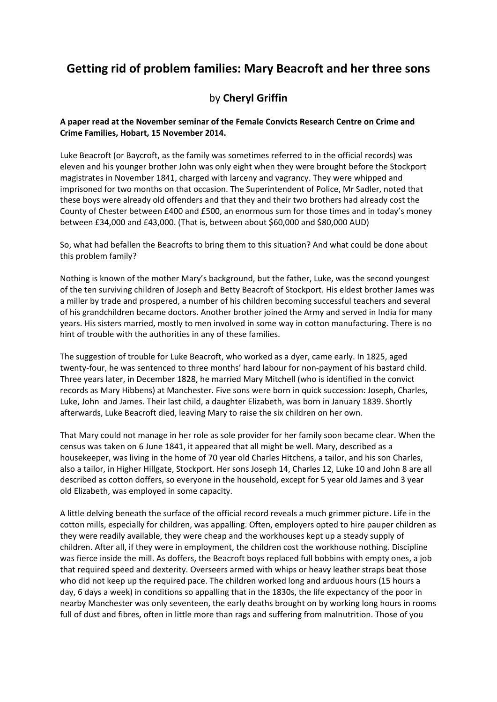## **Getting rid of problem families: Mary Beacroft and her three sons**

## by **Cheryl Griffin**

## **A paper read at the November seminar of the Female Convicts Research Centre on Crime and Crime Families, Hobart, 15 November 2014.**

Luke Beacroft (or Baycroft, as the family was sometimes referred to in the official records) was eleven and his younger brother John was only eight when they were brought before the Stockport magistrates in November 1841, charged with larceny and vagrancy. They were whipped and imprisoned for two months on that occasion. The Superintendent of Police, Mr Sadler, noted that these boys were already old offenders and that they and their two brothers had already cost the County of Chester between £400 and £500, an enormous sum for those times and in today's money between £34,000 and £43,000. (That is, between about \$60,000 and \$80,000 AUD)

So, what had befallen the Beacrofts to bring them to this situation? And what could be done about this problem family?

Nothing is known of the mother Mary's background, but the father, Luke, was the second youngest of the ten surviving children of Joseph and Betty Beacroft of Stockport. His eldest brother James was a miller by trade and prospered, a number of his children becoming successful teachers and several of his grandchildren became doctors. Another brother joined the Army and served in India for many years. His sisters married, mostly to men involved in some way in cotton manufacturing. There is no hint of trouble with the authorities in any of these families.

The suggestion of trouble for Luke Beacroft, who worked as a dyer, came early. In 1825, aged twenty-four, he was sentenced to three months' hard labour for non-payment of his bastard child. Three years later, in December 1828, he married Mary Mitchell (who is identified in the convict records as Mary Hibbens) at Manchester. Five sons were born in quick succession: Joseph, Charles, Luke, John and James. Their last child, a daughter Elizabeth, was born in January 1839. Shortly afterwards, Luke Beacroft died, leaving Mary to raise the six children on her own.

That Mary could not manage in her role as sole provider for her family soon became clear. When the census was taken on 6 June 1841, it appeared that all might be well. Mary, described as a housekeeper, was living in the home of 70 year old Charles Hitchens, a tailor, and his son Charles, also a tailor, in Higher Hillgate, Stockport. Her sons Joseph 14, Charles 12, Luke 10 and John 8 are all described as cotton doffers, so everyone in the household, except for 5 year old James and 3 year old Elizabeth, was employed in some capacity.

A little delving beneath the surface of the official record reveals a much grimmer picture. Life in the cotton mills, especially for children, was appalling. Often, employers opted to hire pauper children as they were readily available, they were cheap and the workhouses kept up a steady supply of children. After all, if they were in employment, the children cost the workhouse nothing. Discipline was fierce inside the mill. As doffers, the Beacroft boys replaced full bobbins with empty ones, a job that required speed and dexterity. Overseers armed with whips or heavy leather straps beat those who did not keep up the required pace. The children worked long and arduous hours (15 hours a day, 6 days a week) in conditions so appalling that in the 1830s, the life expectancy of the poor in nearby Manchester was only seventeen, the early deaths brought on by working long hours in rooms full of dust and fibres, often in little more than rags and suffering from malnutrition. Those of you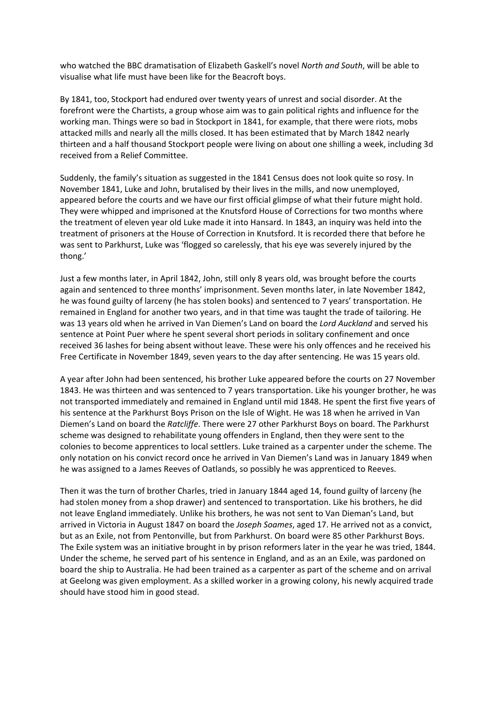who watched the BBC dramatisation of Elizabeth Gaskell's novel *North and South*, will be able to visualise what life must have been like for the Beacroft boys.

By 1841, too, Stockport had endured over twenty years of unrest and social disorder. At the forefront were the Chartists, a group whose aim was to gain political rights and influence for the working man. Things were so bad in Stockport in 1841, for example, that there were riots, mobs attacked mills and nearly all the mills closed. It has been estimated that by March 1842 nearly thirteen and a half thousand Stockport people were living on about one shilling a week, including 3d received from a Relief Committee.

Suddenly, the family's situation as suggested in the 1841 Census does not look quite so rosy. In November 1841, Luke and John, brutalised by their lives in the mills, and now unemployed, appeared before the courts and we have our first official glimpse of what their future might hold. They were whipped and imprisoned at the Knutsford House of Corrections for two months where the treatment of eleven year old Luke made it into Hansard. In 1843, an inquiry was held into the treatment of prisoners at the House of Correction in Knutsford. It is recorded there that before he was sent to Parkhurst, Luke was 'flogged so carelessly, that his eye was severely injured by the thong.'

Just a few months later, in April 1842, John, still only 8 years old, was brought before the courts again and sentenced to three months' imprisonment. Seven months later, in late November 1842, he was found guilty of larceny (he has stolen books) and sentenced to 7 years' transportation. He remained in England for another two years, and in that time was taught the trade of tailoring. He was 13 years old when he arrived in Van Diemen's Land on board the *Lord Auckland* and served his sentence at Point Puer where he spent several short periods in solitary confinement and once received 36 lashes for being absent without leave. These were his only offences and he received his Free Certificate in November 1849, seven years to the day after sentencing. He was 15 years old.

A year after John had been sentenced, his brother Luke appeared before the courts on 27 November 1843. He was thirteen and was sentenced to 7 years transportation. Like his younger brother, he was not transported immediately and remained in England until mid 1848. He spent the first five years of his sentence at the Parkhurst Boys Prison on the Isle of Wight. He was 18 when he arrived in Van Diemen's Land on board the *Ratcliffe*. There were 27 other Parkhurst Boys on board. The Parkhurst scheme was designed to rehabilitate young offenders in England, then they were sent to the colonies to become apprentices to local settlers. Luke trained as a carpenter under the scheme. The only notation on his convict record once he arrived in Van Diemen's Land was in January 1849 when he was assigned to a James Reeves of Oatlands, so possibly he was apprenticed to Reeves.

Then it was the turn of brother Charles, tried in January 1844 aged 14, found guilty of larceny (he had stolen money from a shop drawer) and sentenced to transportation. Like his brothers, he did not leave England immediately. Unlike his brothers, he was not sent to Van Dieman's Land, but arrived in Victoria in August 1847 on board the *Joseph Soames*, aged 17. He arrived not as a convict, but as an Exile, not from Pentonville, but from Parkhurst. On board were 85 other Parkhurst Boys. The Exile system was an initiative brought in by prison reformers later in the year he was tried, 1844. Under the scheme, he served part of his sentence in England, and as an an Exile, was pardoned on board the ship to Australia. He had been trained as a carpenter as part of the scheme and on arrival at Geelong was given employment. As a skilled worker in a growing colony, his newly acquired trade should have stood him in good stead.